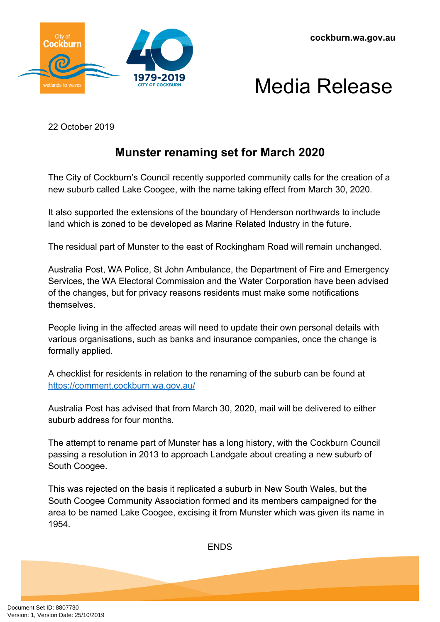





22 October 2019

## **Munster renaming set for March 2020**

The City of Cockburn's Council recently supported community calls for the creation of a new suburb called Lake Coogee, with the name taking effect from March 30, 2020.

It also supported the extensions of the boundary of Henderson northwards to include land which is zoned to be developed as Marine Related Industry in the future.

The residual part of Munster to the east of Rockingham Road will remain unchanged.

Australia Post, WA Police, St John Ambulance, the Department of Fire and Emergency Services, the WA Electoral Commission and the Water Corporation have been advised of the changes, but for privacy reasons residents must make some notifications themselves.

People living in the affected areas will need to update their own personal details with various organisations, such as banks and insurance companies, once the change is formally applied.

A checklist for residents in relation to the renaming of the suburb can be found at <https://comment.cockburn.wa.gov.au/>

Australia Post has advised that from March 30, 2020, mail will be delivered to either suburb address for four months.

The attempt to rename part of Munster has a long history, with the Cockburn Council passing a resolution in 2013 to approach Landgate about creating a new suburb of South Coogee.

This was rejected on the basis it replicated a suburb in New South Wales, but the South Coogee Community Association formed and its members campaigned for the area to be named Lake Coogee, excising it from Munster which was given its name in 1954.

**FNDS**